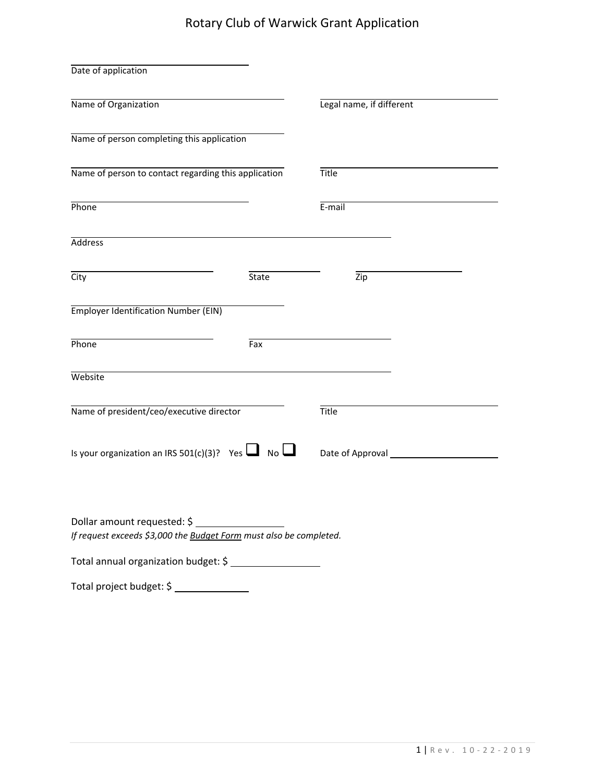## Rotary Club of Warwick Grant Application

| Date of application                                                                                                                       |              |                          |  |
|-------------------------------------------------------------------------------------------------------------------------------------------|--------------|--------------------------|--|
| Name of Organization                                                                                                                      |              | Legal name, if different |  |
| Name of person completing this application                                                                                                |              |                          |  |
| Name of person to contact regarding this application                                                                                      |              | <b>Title</b>             |  |
| Phone                                                                                                                                     |              | E-mail                   |  |
| <b>Address</b>                                                                                                                            |              |                          |  |
| City                                                                                                                                      | <b>State</b> | Zip                      |  |
| <b>Employer Identification Number (EIN)</b>                                                                                               |              |                          |  |
| Phone                                                                                                                                     | Fax          |                          |  |
| Website                                                                                                                                   |              |                          |  |
| Name of president/ceo/executive director                                                                                                  |              | Title                    |  |
| Is your organization an IRS 501(c)(3)? Yes $\Box$ No $\Box$                                                                               |              |                          |  |
| Dollar amount requested: \$<br>If request exceeds \$3,000 the Budget Form must also be completed.<br>Total annual organization budget: \$ |              |                          |  |
|                                                                                                                                           |              |                          |  |

Total project budget: \$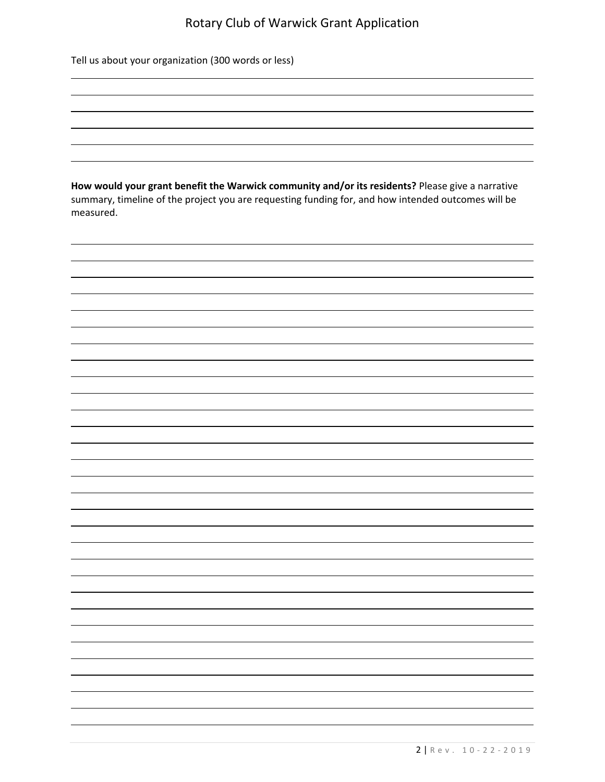## Rotary Club of Warwick Grant Application

<u> 1989 - Johann Barn, mars and deutscher Schwarzer und der Schwarzer und der Schwarzer und der Schwarzer und de</u> <u> 1989 - Andrea Santa Alemania, amerikana amerikana amerikana amerikana amerikana amerikana amerikana amerikan</u>

Tell us about your organization (300 words or less)

**How would your grant benefit the Warwick community and/or its residents?** Please give a narrative summary, timeline of the project you are requesting funding for, and how intended outcomes will be measured.

<u> 1980 - Andrea Santa Alemania, amerikana amerikana amerikana amerikana amerikana amerikana amerikana amerikan</u>